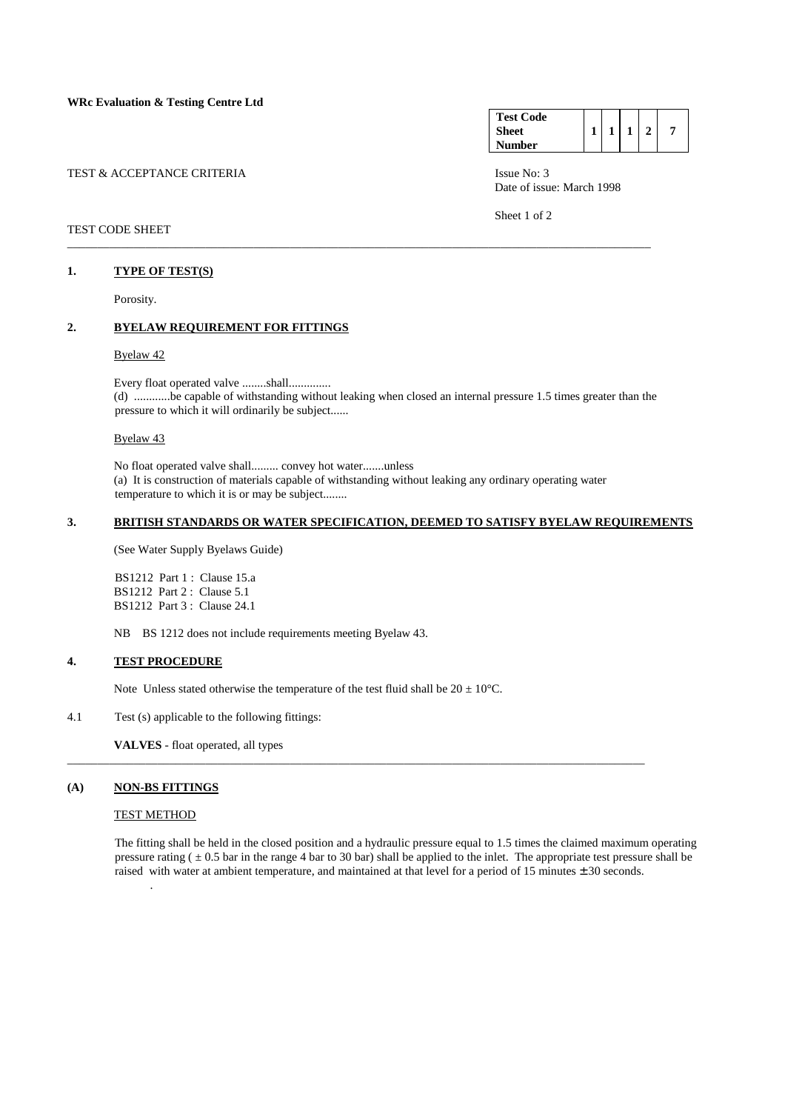| TEST & ACCEPTANCE CRITERIA |  |  |  |  |
|----------------------------|--|--|--|--|
|                            |  |  |  |  |

## TEST CODE SHEET

### **1. TYPE OF TEST(S)**

Porosity.

# **2. BYELAW REQUIREMENT FOR FITTINGS**

### Byelaw 42

 Every float operated valve ........shall.............. (d) ............be capable of withstanding without leaking when closed an internal pressure 1.5 times greater than the pressure to which it will ordinarily be subject......

Byelaw 43

 No float operated valve shall......... convey hot water.......unless (a) It is construction of materials capable of withstanding without leaking any ordinary operating water temperature to which it is or may be subject........

\_\_\_\_\_\_\_\_\_\_\_\_\_\_\_\_\_\_\_\_\_\_\_\_\_\_\_\_\_\_\_\_\_\_\_\_\_\_\_\_\_\_\_\_\_\_\_\_\_\_\_\_\_\_\_\_\_\_\_\_\_\_\_\_\_\_\_\_\_\_\_\_\_\_\_\_\_\_\_\_\_\_\_\_\_\_\_\_\_\_\_\_\_\_\_\_

\_\_\_\_\_\_\_\_\_\_\_\_\_\_\_\_\_\_\_\_\_\_\_\_\_\_\_\_\_\_\_\_\_\_\_\_\_\_\_\_\_\_\_\_\_\_\_\_\_\_\_\_\_\_\_\_\_\_\_\_\_\_\_\_\_\_\_\_\_\_\_\_\_\_\_\_\_\_\_\_\_\_\_\_\_\_\_\_\_\_\_\_\_\_\_\_\_

# **3. BRITISH STANDARDS OR WATER SPECIFICATION, DEEMED TO SATISFY BYELAW REQUIREMENTS**

(See Water Supply Byelaws Guide)

 BS1212 Part 1 : Clause 15.a BS1212 Part 2 : Clause 5.1 BS1212 Part 3 : Clause 24.1

NB BS 1212 does not include requirements meeting Byelaw 43.

#### **4. TEST PROCEDURE**

Note Unless stated otherwise the temperature of the test fluid shall be  $20 \pm 10^{\circ}$ C.

4.1 Test (s) applicable to the following fittings:

 **VALVES** - float operated, all types

#### **(A) NON-BS FITTINGS**

.

# TEST METHOD

 The fitting shall be held in the closed position and a hydraulic pressure equal to 1.5 times the claimed maximum operating pressure rating  $( \pm 0.5 \text{ bar in the range 4 bar to 30 bar})$  shall be applied to the inlet. The appropriate test pressure shall be raised with water at ambient temperature, and maintained at that level for a period of 15 minutes ± 30 seconds.

| <b>Test Code</b> |  |              |  |
|------------------|--|--------------|--|
| <b>Sheet</b>     |  | $\mathbf{1}$ |  |
| <b>Number</b>    |  |              |  |

Issue No: 3 Date of issue: March 1998

Sheet 1 of 2